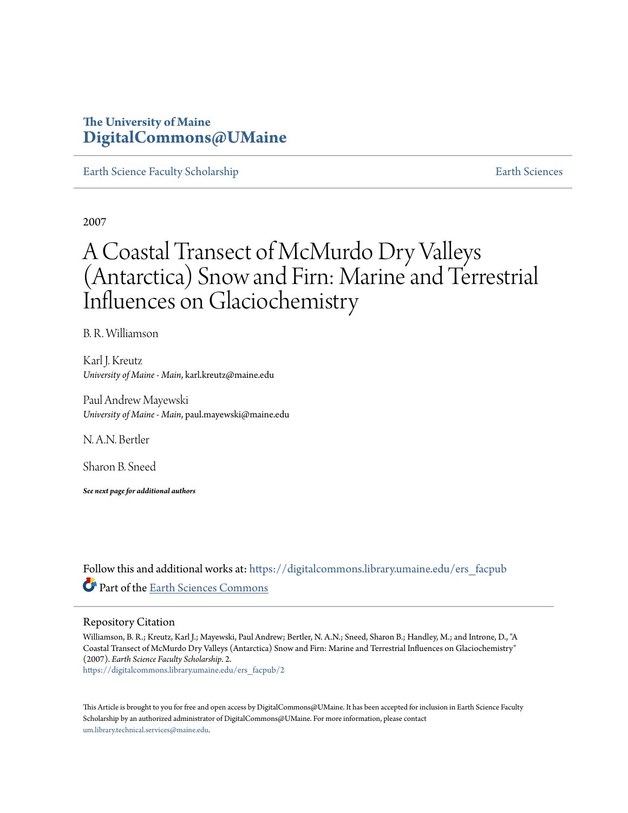### **The University of Maine [DigitalCommons@UMaine](https://digitalcommons.library.umaine.edu?utm_source=digitalcommons.library.umaine.edu%2Fers_facpub%2F2&utm_medium=PDF&utm_campaign=PDFCoverPages)**

[Earth Science Faculty Scholarship](https://digitalcommons.library.umaine.edu/ers_facpub?utm_source=digitalcommons.library.umaine.edu%2Fers_facpub%2F2&utm_medium=PDF&utm_campaign=PDFCoverPages) **[Earth Sciences](https://digitalcommons.library.umaine.edu/ers?utm_source=digitalcommons.library.umaine.edu%2Fers_facpub%2F2&utm_medium=PDF&utm_campaign=PDFCoverPages)** 

2007

# A Coastal Transect of McMurdo Dry Valleys (Antarctica) Snow and Firn: Marine and Terrestrial Influences on Glaciochemistry

B. R. Williamson

Karl J. Kreutz *University of Maine - Main*, karl.kreutz@maine.edu

Paul Andrew Mayewski *University of Maine - Main*, paul.mayewski@maine.edu

N. A.N. Bertler

Sharon B. Sneed

*See next page for additional authors*

Follow this and additional works at: [https://digitalcommons.library.umaine.edu/ers\\_facpub](https://digitalcommons.library.umaine.edu/ers_facpub?utm_source=digitalcommons.library.umaine.edu%2Fers_facpub%2F2&utm_medium=PDF&utm_campaign=PDFCoverPages) Part of the [Earth Sciences Commons](http://network.bepress.com/hgg/discipline/153?utm_source=digitalcommons.library.umaine.edu%2Fers_facpub%2F2&utm_medium=PDF&utm_campaign=PDFCoverPages)

#### Repository Citation

Williamson, B. R.; Kreutz, Karl J.; Mayewski, Paul Andrew; Bertler, N. A.N.; Sneed, Sharon B.; Handley, M.; and Introne, D., "A Coastal Transect of McMurdo Dry Valleys (Antarctica) Snow and Firn: Marine and Terrestrial Influences on Glaciochemistry" (2007). *Earth Science Faculty Scholarship*. 2. [https://digitalcommons.library.umaine.edu/ers\\_facpub/2](https://digitalcommons.library.umaine.edu/ers_facpub/2?utm_source=digitalcommons.library.umaine.edu%2Fers_facpub%2F2&utm_medium=PDF&utm_campaign=PDFCoverPages)

This Article is brought to you for free and open access by DigitalCommons@UMaine. It has been accepted for inclusion in Earth Science Faculty Scholarship by an authorized administrator of DigitalCommons@UMaine. For more information, please contact [um.library.technical.services@maine.edu](mailto:um.library.technical.services@maine.edu).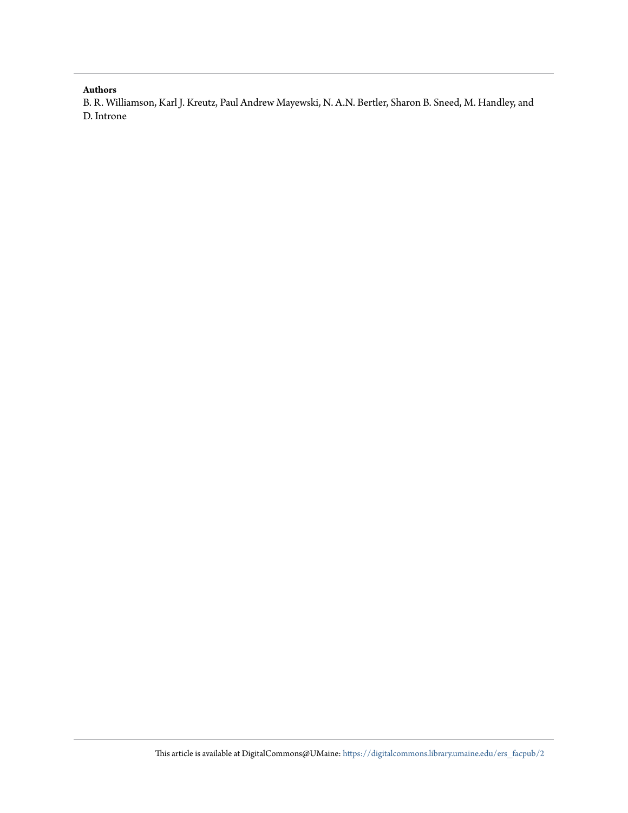#### **Authors**

B. R. Williamson, Karl J. Kreutz, Paul Andrew Mayewski, N. A.N. Bertler, Sharon B. Sneed, M. Handley, and D. Introne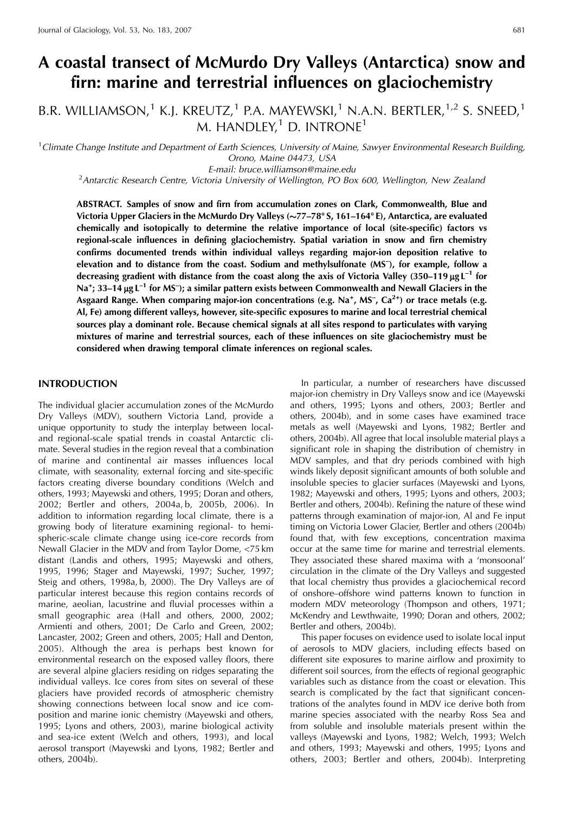## A coastal transect of McMurdo Dry Valleys (Antarctica) snow and firn: marine and terrestrial influences on glaciochemistry

B.R. WILLIAMSON,<sup>1</sup> K.J. KREUTZ,<sup>1</sup> P.A. MAYEWSKI,<sup>1</sup> N.A.N. BERTLER,<sup>1,2</sup> S. SNEED,<sup>1</sup> M. HANDLEY,<sup>1</sup> D. INTRONE<sup>1</sup>

<sup>1</sup> Climate Change Institute and Department of Earth Sciences, University of Maine, Sawyer Environmental Research Building, Orono, Maine 04473, USA

E-mail: bruce.williamson@maine.edu

<sup>2</sup>Antarctic Research Centre, Victoria University of Wellington, PO Box 600, Wellington, New Zealand

ABSTRACT. Samples of snow and firn from accumulation zones on Clark, Commonwealth, Blue and Victoria Upper Glaciers in the McMurdo Dry Valleys ( $\sim$ 77-78° S, 161-164° E), Antarctica, are evaluated chemically and isotopically to determine the relative importance of local (site-specific) factors vs regional-scale influences in defining glaciochemistry. Spatial variation in snow and firn chemistry confirms documented trends within individual valleys regarding major-ion deposition relative to elevation and to distance from the coast. Sodium and methylsulfonate (MS<sup>-</sup>), for example, follow a decreasing gradient with distance from the coast along the axis of Victoria Valley (350-119 µg L<sup>-1</sup> for Na<sup>+</sup>; 33-14 µg L<sup>-1</sup> for MS<sup>-</sup>); a similar pattern exists between Commonwealth and Newall Glaciers in the Asgaard Range. When comparing major-ion concentrations (e.g. Na<sup>+</sup>, MS<sup>-</sup>, Ca<sup>2+</sup>) or trace metals (e.g. Al, Fe) among different valleys, however, site-specific exposures to marine and local terrestrial chemical sources play a dominant role. Because chemical signals at all sites respond to particulates with varying mixtures of marine and terrestrial sources, each of these influences on site glaciochemistry must be considered when drawing temporal climate inferences on regional scales.

#### **INTRODUCTION**

The individual glacier accumulation zones of the McMurdo Dry Valleys (MDV), southern Victoria Land, provide a unique opportunity to study the interplay between localand regional-scale spatial trends in coastal Antarctic climate. Several studies in the region reveal that a combination of marine and continental air masses influences local climate, with seasonality, external forcing and site-specific factors creating diverse boundary conditions (Welch and others, 1993; Mayewski and others, 1995; Doran and others, 2002; Bertler and others, 2004a, b, 2005b, 2006). In addition to information regarding local climate, there is a growing body of literature examining regional- to hemispheric-scale climate change using ice-core records from Newall Glacier in the MDV and from Taylor Dome, <75 km distant (Landis and others, 1995; Mayewski and others, 1995, 1996; Stager and Mayewski, 1997; Sucher, 1997; Steig and others, 1998a, b, 2000). The Dry Valleys are of particular interest because this region contains records of marine, aeolian, lacustrine and fluvial processes within a small geographic area (Hall and others, 2000, 2002; Armienti and others, 2001; De Carlo and Green, 2002; Lancaster, 2002; Green and others, 2005; Hall and Denton, 2005). Although the area is perhaps best known for environmental research on the exposed valley floors, there are several alpine glaciers residing on ridges separating the individual valleys. Ice cores from sites on several of these glaciers have provided records of atmospheric chemistry showing connections between local snow and ice composition and marine ionic chemistry (Mayewski and others, 1995; Lyons and others, 2003), marine biological activity and sea-ice extent (Welch and others, 1993), and local aerosol transport (Mayewski and Lyons, 1982; Bertler and others, 2004b).

In particular, a number of researchers have discussed major-ion chemistry in Dry Valleys snow and ice (Mayewski and others, 1995; Lyons and others, 2003; Bertler and others, 2004b), and in some cases have examined trace metals as well (Mayewski and Lyons, 1982; Bertler and others, 2004b). All agree that local insoluble material plays a significant role in shaping the distribution of chemistry in MDV samples, and that dry periods combined with high winds likely deposit significant amounts of both soluble and insoluble species to glacier surfaces (Mayewski and Lyons, 1982; Mayewski and others, 1995; Lyons and others, 2003; Bertler and others, 2004b). Refining the nature of these wind patterns through examination of major-ion, Al and Fe input timing on Victoria Lower Glacier, Bertler and others (2004b) found that, with few exceptions, concentration maxima occur at the same time for marine and terrestrial elements. They associated these shared maxima with a 'monsoonal' circulation in the climate of the Dry Valleys and suggested that local chemistry thus provides a glaciochemical record of onshore-offshore wind patterns known to function in modern MDV meteorology (Thompson and others, 1971; McKendry and Lewthwaite, 1990; Doran and others, 2002; Bertler and others, 2004b).

This paper focuses on evidence used to isolate local input of aerosols to MDV glaciers, including effects based on different site exposures to marine airflow and proximity to different soil sources, from the effects of regional geographic variables such as distance from the coast or elevation. This search is complicated by the fact that significant concentrations of the analytes found in MDV ice derive both from marine species associated with the nearby Ross Sea and from soluble and insoluble materials present within the valleys (Mayewski and Lyons, 1982; Welch, 1993; Welch and others, 1993; Mayewski and others, 1995; Lyons and others, 2003; Bertler and others, 2004b). Interpreting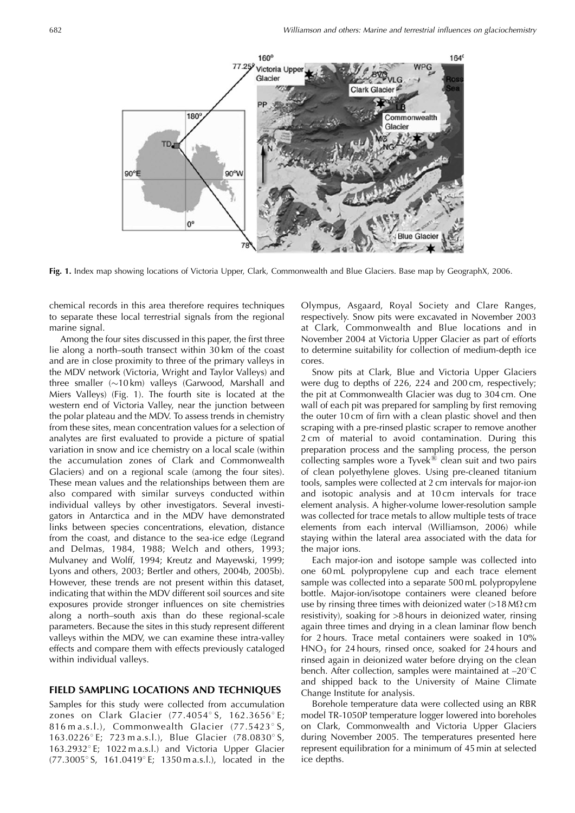

Fig. 1. Index map showing locations of Victoria Upper, Clark, Commonwealth and Blue Glaciers. Base map by GeographX, 2006.

chemical records in this area therefore requires techniques to separate these local terrestrial signals from the regional marine signal.

Among the four sites discussed in this paper, the first three lie along a north-south transect within 30 km of the coast and are in close proximity to three of the primary valleys in the MDV network (Victoria, Wright and Taylor Valleys) and three smaller  $(\sim 10 \text{ km})$  valleys (Garwood, Marshall and Miers Valleys) (Fig. 1). The fourth site is located at the western end of Victoria Valley, near the junction between the polar plateau and the MDV. To assess trends in chemistry from these sites, mean concentration values for a selection of analytes are first evaluated to provide a picture of spatial variation in snow and ice chemistry on a local scale (within the accumulation zones of Clark and Commonwealth Glaciers) and on a regional scale (among the four sites). These mean values and the relationships between them are also compared with similar surveys conducted within individual valleys by other investigators. Several investigators in Antarctica and in the MDV have demonstrated links between species concentrations, elevation, distance from the coast, and distance to the sea-ice edge (Legrand and Delmas, 1984, 1988; Welch and others, 1993; Mulvaney and Wolff, 1994; Kreutz and Mayewski, 1999; Lyons and others, 2003; Bertler and others, 2004b, 2005b). However, these trends are not present within this dataset, indicating that within the MDV different soil sources and site exposures provide stronger influences on site chemistries along a north-south axis than do these regional-scale parameters. Because the sites in this study represent different valleys within the MDV, we can examine these intra-valley effects and compare them with effects previously cataloged within individual valleys.

#### FIELD SAMPLING LOCATIONS AND TECHNIQUES

Samples for this study were collected from accumulation zones on Clark Glacier (77.4054°S, 162.3656°E;  $816$  m a.s.l.), Commonwealth Glacier  $(77.5423)$ °S, 163.0226°E; 723 m a.s.l.), Blue Glacier (78.0830°S, 163.2932°E; 1022 m a.s.l.) and Victoria Upper Glacier (77.3005°S, 161.0419°E; 1350 m a.s.l.), located in the

Olympus, Asgaard, Royal Society and Clare Ranges, respectively. Snow pits were excavated in November 2003 at Clark, Commonwealth and Blue locations and in November 2004 at Victoria Upper Glacier as part of efforts to determine suitability for collection of medium-depth ice cores.

Snow pits at Clark, Blue and Victoria Upper Glaciers were dug to depths of 226, 224 and 200 cm, respectively; the pit at Commonwealth Glacier was dug to 304 cm. One wall of each pit was prepared for sampling by first removing the outer 10 cm of firn with a clean plastic shovel and then scraping with a pre-rinsed plastic scraper to remove another 2 cm of material to avoid contamination. During this preparation process and the sampling process, the person collecting samples wore a Tyvek $^{\circledR}$  clean suit and two pairs of clean polyethylene gloves. Using pre-cleaned titanium tools, samples were collected at 2 cm intervals for major-ion and isotopic analysis and at 10cm intervals for trace element analysis. A higher-volume lower-resolution sample was collected for trace metals to allow multiple tests of trace elements from each interval (Williamson, 2006) while staying within the lateral area associated with the data for the major ions.

Each major-ion and isotope sample was collected into one 60 mL polypropylene cup and each trace element sample was collected into a separate 500 mL polypropylene bottle. Major-ion/isotope containers were cleaned before use by rinsing three times with deionized water  $(>18 M\Omega \text{ cm})$ resistivity), soaking for >8 hours in deionized water, rinsing again three times and drying in a clean laminar flow bench for 2 hours. Trace metal containers were soaked in 10%  $HNO<sub>3</sub>$  for 24 hours, rinsed once, soaked for 24 hours and rinsed again in deionized water before drying on the clean bench. After collection, samples were maintained at  $-20^{\circ}$ C and shipped back to the University of Maine Climate Change Institute for analysis.

Borehole temperature data were collected using an RBR model TR-1050P temperature logger lowered into boreholes on Clark, Commonwealth and Victoria Upper Glaciers during November 2005. The temperatures presented here represent equilibration for a minimum of 45 min at selected ice depths.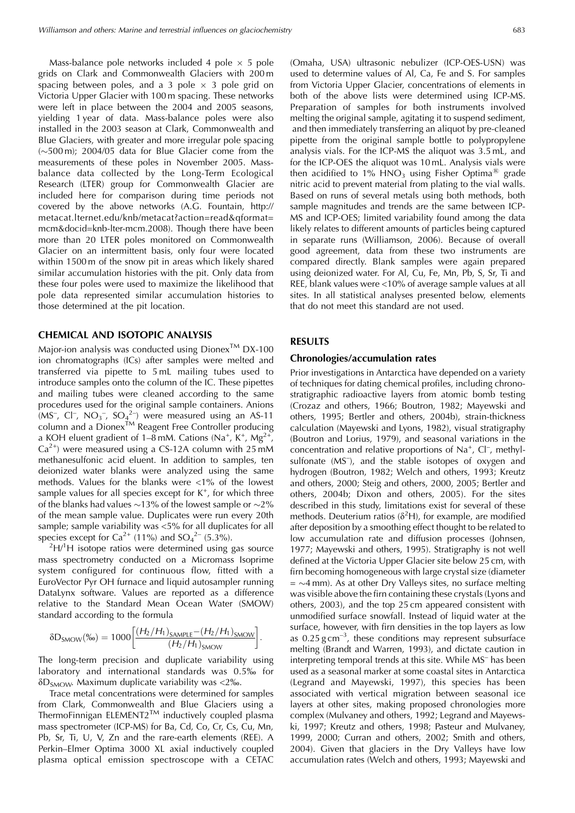Mass-balance pole networks included 4 pole  $\times$  5 pole grids on Clark and Commonwealth Glaciers with 200 m spacing between poles, and a 3 pole  $\times$  3 pole grid on Victoria Upper Glacier with 100 m spacing. These networks were left in place between the 2004 and 2005 seasons, yielding 1 year of data. Mass-balance poles were also installed in the 2003 season at Clark, Commonwealth and Blue Glaciers, with greater and more irregular pole spacing  $(\sim 500 \text{ m})$ ; 2004/05 data for Blue Glacier come from the measurements of these poles in November 2005. Massbalance data collected by the Long-Term Ecological Research (LTER) group for Commonwealth Glacier are included here for comparison during time periods not covered by the above networks (A.G. Fountain, http:// metacat.lternet.edu/knb/metacat?action=read&gformat= mcm&docid=knb-lter-mcm.2008). Though there have been more than 20 LTER poles monitored on Commonwealth Glacier on an intermittent basis, only four were located within 1500 m of the snow pit in areas which likely shared similar accumulation histories with the pit. Only data from these four poles were used to maximize the likelihood that pole data represented similar accumulation histories to those determined at the pit location.

#### **CHEMICAL AND ISOTOPIC ANALYSIS**

Major-ion analysis was conducted using Dionex<sup>TM</sup> DX-100 ion chromatographs (ICs) after samples were melted and transferred via pipette to 5 mL mailing tubes used to introduce samples onto the column of the IC. These pipettes and mailing tubes were cleaned according to the same procedures used for the original sample containers. Anions  $(MS^{-}, Cl^{-}, NO_{3}^{-}, SO_{4}^{2-})$  were measured using an AS-11 column and a Dionex<sup>TM</sup> Reagent Free Controller producing a KOH eluent gradient of 1–8 mM. Cations (Na<sup>+</sup>, K<sup>+</sup>, Mg<sup>2+</sup>,  $Ca^{2+}$ ) were measured using a CS-12A column with 25 mM methanesulfonic acid eluent. In addition to samples, ten deionized water blanks were analyzed using the same methods. Values for the blanks were  $\langle 1\% \rangle$  of the lowest sample values for all species except for  $K^+$ , for which three of the blanks had values  $\sim$ 13% of the lowest sample or  $\sim$ 2% of the mean sample value. Duplicates were run every 20th sample; sample variability was <5% for all duplicates for all species except for  $Ca^{2+}$  (11%) and  $SO_4{}^{2-}$  (5.3%).

 ${}^{2}$ H/<sup>1</sup>H isotope ratios were determined using gas source mass spectrometry conducted on a Micromass Isoprime system configured for continuous flow, fitted with a EuroVector Pyr OH furnace and liquid autosampler running DataLynx software. Values are reported as a difference relative to the Standard Mean Ocean Water (SMOW) standard according to the formula

$$
\delta D_{SMOW}(\text{M}_0) = 1000 \left[ \frac{(H_2/H_1)_{SAMPLE} - (H_2/H_1)_{SMOW}}{(H_2/H_1)_{SMOW}} \right].
$$

The long-term precision and duplicate variability using laboratory and international standards was 0.5% for  $\delta D_{SMOW}$ . Maximum duplicate variability was <2\%.

Trace metal concentrations were determined for samples from Clark, Commonwealth and Blue Glaciers using a ThermoFinnigan ELEMENT2™ inductively coupled plasma mass spectrometer (ICP-MS) for Ba, Cd, Co, Cr, Cs, Cu, Mn, Pb, Sr, Ti, U, V, Zn and the rare-earth elements (REE). A Perkin-Elmer Optima 3000 XL axial inductively coupled plasma optical emission spectroscope with a CETAC

(Omaha, USA) ultrasonic nebulizer (ICP-OES-USN) was used to determine values of Al, Ca, Fe and S. For samples from Victoria Upper Glacier, concentrations of elements in both of the above lists were determined using ICP-MS. Preparation of samples for both instruments involved melting the original sample, agitating it to suspend sediment, and then immediately transferring an aliquot by pre-cleaned pipette from the original sample bottle to polypropylene analysis vials. For the ICP-MS the aliquot was 3.5 mL, and for the ICP-OES the aliquot was 10 mL. Analysis vials were then acidified to 1%  $HNO<sub>3</sub>$  using Fisher Optima<sup>®</sup> grade nitric acid to prevent material from plating to the vial walls. Based on runs of several metals using both methods, both sample magnitudes and trends are the same between ICP-MS and ICP-OES; limited variability found among the data likely relates to different amounts of particles being captured in separate runs (Williamson, 2006). Because of overall good agreement, data from these two instruments are compared directly. Blank samples were again prepared using deionized water. For Al, Cu, Fe, Mn, Pb, S, Sr, Ti and REE, blank values were <10% of average sample values at all sites. In all statistical analyses presented below, elements that do not meet this standard are not used.

#### **RESULTS**

#### **Chronologies/accumulation rates**

Prior investigations in Antarctica have depended on a variety of techniques for dating chemical profiles, including chronostratigraphic radioactive layers from atomic bomb testing (Crozaz and others, 1966; Boutron, 1982; Mayewski and others, 1995; Bertler and others, 2004b), strain-thickness calculation (Mayewski and Lyons, 1982), visual stratigraphy (Boutron and Lorius, 1979), and seasonal variations in the concentration and relative proportions of Na<sup>+</sup>, Cl<sup>-</sup>, methylsulfonate (MS<sup>-</sup>), and the stable isotopes of oxygen and hydrogen (Boutron, 1982; Welch and others, 1993; Kreutz and others, 2000; Steig and others, 2000, 2005; Bertler and others, 2004b; Dixon and others, 2005). For the sites described in this study, limitations exist for several of these methods. Deuterium ratios ( $\delta^2$ H), for example, are modified after deposition by a smoothing effect thought to be related to low accumulation rate and diffusion processes (Johnsen, 1977; Mayewski and others, 1995). Stratigraphy is not well defined at the Victoria Upper Glacier site below 25 cm, with firn becoming homogeneous with large crystal size (diameter  $=$   $\sim$ 4 mm). As at other Dry Valleys sites, no surface melting was visible above the firn containing these crystals (Lyons and others, 2003), and the top 25 cm appeared consistent with unmodified surface snowfall. Instead of liquid water at the surface, however, with firn densities in the top layers as low as 0.25  $\text{g cm}^{-3}$ , these conditions may represent subsurface melting (Brandt and Warren, 1993), and dictate caution in interpreting temporal trends at this site. While MS<sup>-</sup> has been used as a seasonal marker at some coastal sites in Antarctica (Legrand and Mayewski, 1997), this species has been associated with vertical migration between seasonal ice layers at other sites, making proposed chronologies more complex (Mulvaney and others, 1992; Legrand and Mayewski, 1997; Kreutz and others, 1998; Pasteur and Mulvaney, 1999, 2000; Curran and others, 2002; Smith and others, 2004). Given that glaciers in the Dry Valleys have low accumulation rates (Welch and others, 1993; Mayewski and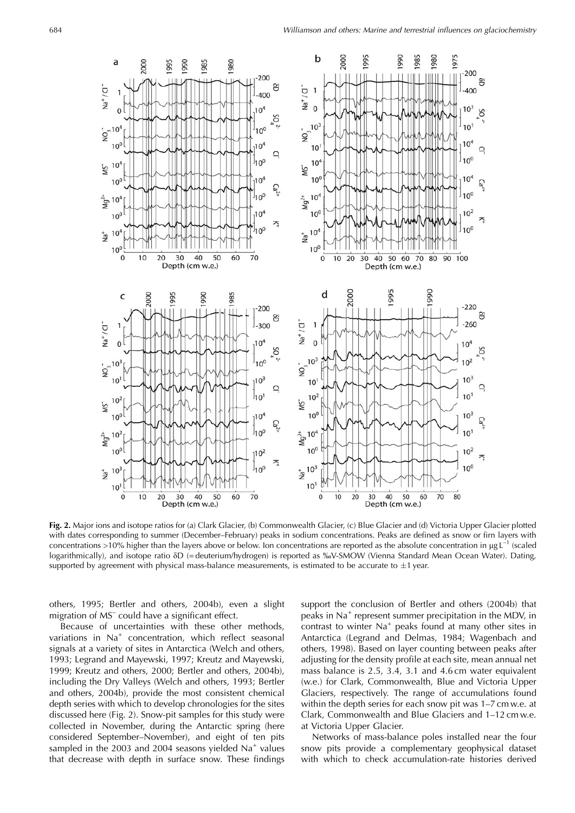

Fig. 2. Major ions and isotope ratios for (a) Clark Glacier, (b) Commonwealth Glacier, (c) Blue Glacier and (d) Victoria Upper Glacier plotted with dates corresponding to summer (December-February) peaks in sodium concentrations. Peaks are defined as snow or firn layers with concentrations >10% higher than the layers above or below. Ion concentrations are reported as the absolute concentration in  $\mu$ g L<sup>-1</sup> (scaled logarithmically), and isotope ratio  $\delta D$  (= deuterium/hydrogen) is reported as %V-SMOW (Vienna Standard Mean Ocean Water). Dating, supported by agreement with physical mass-balance measurements, is estimated to be accurate to  $\pm 1$  year.

others, 1995; Bertler and others, 2004b), even a slight migration of MS<sup>-</sup> could have a significant effect.

Because of uncertainties with these other methods, variations in Na<sup>+</sup> concentration, which reflect seasonal signals at a variety of sites in Antarctica (Welch and others, 1993; Legrand and Mayewski, 1997; Kreutz and Mayewski, 1999; Kreutz and others, 2000; Bertler and others, 2004b), including the Dry Valleys (Welch and others, 1993; Bertler and others, 2004b), provide the most consistent chemical depth series with which to develop chronologies for the sites discussed here (Fig. 2). Snow-pit samples for this study were collected in November, during the Antarctic spring (here considered September-November), and eight of ten pits sampled in the 2003 and 2004 seasons yielded Na<sup>+</sup> values that decrease with depth in surface snow. These findings support the conclusion of Bertler and others (2004b) that peaks in Na<sup>+</sup> represent summer precipitation in the MDV, in contrast to winter  $Na<sup>+</sup>$  peaks found at many other sites in Antarctica (Legrand and Delmas, 1984; Wagenbach and others, 1998). Based on layer counting between peaks after adjusting for the density profile at each site, mean annual net mass balance is  $2.5$ ,  $3.4$ ,  $3.1$  and  $4.6$  cm water equivalent (w.e.) for Clark, Commonwealth, Blue and Victoria Upper Glaciers, respectively. The range of accumulations found within the depth series for each snow pit was 1-7 cm w.e. at Clark, Commonwealth and Blue Glaciers and 1–12 cm w.e. at Victoria Upper Glacier.

Networks of mass-balance poles installed near the four snow pits provide a complementary geophysical dataset with which to check accumulation-rate histories derived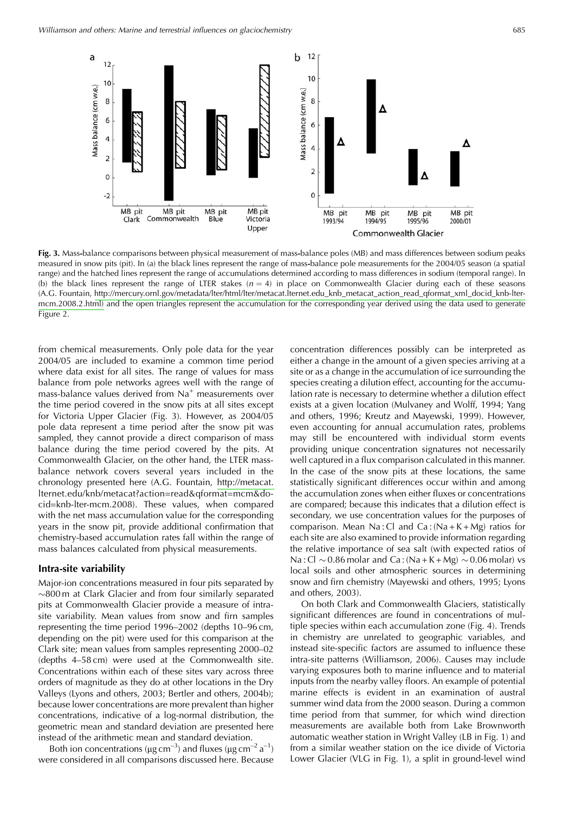

Fig. 3. Mass-balance comparisons between physical measurement of mass-balance poles (MB) and mass differences between sodium peaks measured in snow pits (pit). In (a) the black lines represent the range of mass-balance pole measurements for the 2004/05 season (a spatial range) and the hatched lines represent the range of accumulations determined according to mass differences in sodium (temporal range). In (b) the black lines represent the range of LTER stakes  $(n = 4)$  in place on Commonwealth Glacier during each of these seasons (A.G. Fountain, http://mercury.ornl.gov/metadata/lter/html/lter/metacat.lternet.edu\_knb\_metacat\_action\_read\_qformat\_xml\_docid\_knb-ltermcm.2008.2.html) and the open triangles represent the accumulation for the corresponding year derived using the data used to generate Figure 2.

from chemical measurements. Only pole data for the year 2004/05 are included to examine a common time period where data exist for all sites. The range of values for mass balance from pole networks agrees well with the range of mass-balance values derived from Na<sup>+</sup> measurements over the time period covered in the snow pits at all sites except for Victoria Upper Glacier (Fig. 3). However, as 2004/05 pole data represent a time period after the snow pit was sampled, they cannot provide a direct comparison of mass balance during the time period covered by the pits. At Commonwealth Glacier, on the other hand, the LTER massbalance network covers several years included in the chronology presented here (A.G. Fountain, http://metacat. lternet.edu/knb/metacat?action=read&qformat=mcm&docid=knb-lter-mcm.2008). These values, when compared with the net mass accumulation value for the corresponding years in the snow pit, provide additional confirmation that chemistry-based accumulation rates fall within the range of mass balances calculated from physical measurements.

#### Intra-site variability

Major-ion concentrations measured in four pits separated by  $\sim$ 800 m at Clark Glacier and from four similarly separated pits at Commonwealth Glacier provide a measure of intrasite variability. Mean values from snow and firn samples representing the time period 1996–2002 (depths 10–96 cm, depending on the pit) were used for this comparison at the Clark site; mean values from samples representing 2000-02 (depths 4-58 cm) were used at the Commonwealth site. Concentrations within each of these sites vary across three orders of magnitude as they do at other locations in the Dry Valleys (Lyons and others, 2003; Bertler and others, 2004b); because lower concentrations are more prevalent than higher concentrations, indicative of a log-normal distribution, the geometric mean and standard deviation are presented here instead of the arithmetic mean and standard deviation.

Both ion concentrations ( $\mu$ g cm<sup>-3</sup>) and fluxes ( $\mu$ g cm<sup>-2</sup> a<sup>-1</sup>) were considered in all comparisons discussed here. Because

concentration differences possibly can be interpreted as either a change in the amount of a given species arriving at a site or as a change in the accumulation of ice surrounding the species creating a dilution effect, accounting for the accumulation rate is necessary to determine whether a dilution effect exists at a given location (Mulvaney and Wolff, 1994; Yang and others, 1996; Kreutz and Mayewski, 1999). However, even accounting for annual accumulation rates, problems may still be encountered with individual storm events providing unique concentration signatures not necessarily well captured in a flux comparison calculated in this manner. In the case of the snow pits at these locations, the same statistically significant differences occur within and among the accumulation zones when either fluxes or concentrations are compared; because this indicates that a dilution effect is secondary, we use concentration values for the purposes of comparison. Mean Na: C and Ca:  $(Na + K + Mg)$  ratios for each site are also examined to provide information regarding the relative importance of sea salt (with expected ratios of Na: Cl  $\sim$  0.86 molar and Ca: (Na + K + Mg)  $\sim$  0.06 molar) vs local soils and other atmospheric sources in determining snow and firn chemistry (Mayewski and others, 1995; Lyons and others, 2003).

On both Clark and Commonwealth Glaciers, statistically significant differences are found in concentrations of multiple species within each accumulation zone (Fig. 4). Trends in chemistry are unrelated to geographic variables, and instead site-specific factors are assumed to influence these intra-site patterns (Williamson, 2006). Causes may include varying exposures both to marine influence and to material inputs from the nearby valley floors. An example of potential marine effects is evident in an examination of austral summer wind data from the 2000 season. During a common time period from that summer, for which wind direction measurements are available both from Lake Brownworth automatic weather station in Wright Valley (LB in Fig. 1) and from a similar weather station on the ice divide of Victoria Lower Glacier (VLG in Fig. 1), a split in ground-level wind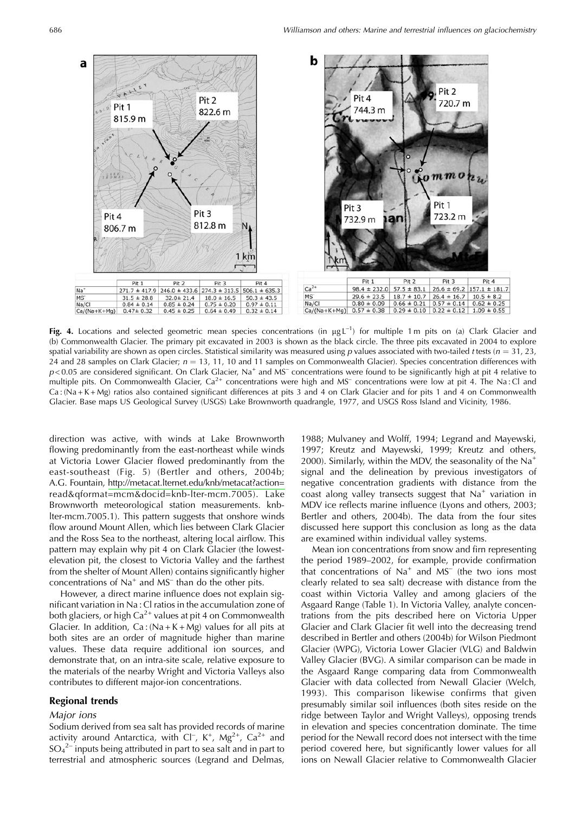

Fig. 4. Locations and selected geometric mean species concentrations (in  $\mu g L^{-1}$ ) for multiple 1 m pits on (a) Clark Glacier and (b) Commonwealth Glacier. The primary pit excavated in 2003 is shown as the black circle. The three pits excavated in 2004 to explore spatial variability are shown as open circles. Statistical similarity was measured using  $p$  values associated with two-tailed t tests ( $n = 31, 23$ , 24 and 28 samples on Clark Glacier;  $n = 13$ , 11, 10 and 11 samples on Commonwealth Glacier). Species concentration differences with  $p$  < 0.05 are considered significant. On Clark Glacier, Na<sup>+</sup> and MS<sup>-</sup> concentrations were found to be significantly high at pit 4 relative to multiple pits. On Commonwealth Glacier,  $Ca^{2+}$  concentrations were high and MS<sup>-</sup> concentrations were low at pit 4. The Na: Cl and Ca: (Na + K + Mg) ratios also contained significant differences at pits 3 and 4 on Clark Glacier and for pits 1 and 4 on Commonwealth Glacier. Base maps US Geological Survey (USGS) Lake Brownworth quadrangle, 1977, and USGS Ross Island and Vicinity, 1986.

direction was active, with winds at Lake Brownworth flowing predominantly from the east-northeast while winds at Victoria Lower Glacier flowed predominantly from the east-southeast (Fig. 5) (Bertler and others, 2004b; A.G. Fountain, http://metacat.lternet.edu/knb/metacat?action= read&qformat=mcm&docid=knb-lter-mcm.7005). Lake Brownworth meteorological station measurements. knb-Iter-mcm.7005.1). This pattern suggests that onshore winds flow around Mount Allen, which lies between Clark Glacier and the Ross Sea to the northeast, altering local airflow. This pattern may explain why pit 4 on Clark Glacier (the lowestelevation pit, the closest to Victoria Valley and the farthest from the shelter of Mount Allen) contains significantly higher concentrations of  $Na<sup>+</sup>$  and  $MS<sup>-</sup>$  than do the other pits.

However, a direct marine influence does not explain significant variation in Na: Cl ratios in the accumulation zone of both glaciers, or high  $Ca^{2+}$  values at pit 4 on Commonwealth Glacier. In addition,  $Ca:(Na+K+Mg)$  values for all pits at both sites are an order of magnitude higher than marine values. These data require additional ion sources, and demonstrate that, on an intra-site scale, relative exposure to the materials of the nearby Wright and Victoria Valleys also contributes to different major-ion concentrations.

#### **Regional trends**

#### Major ions

Sodium derived from sea salt has provided records of marine activity around Antarctica, with Cl<sup>-</sup>, K<sup>+</sup>, Mg<sup>2+</sup>, Ca<sup>2+</sup> and  $SO_4^2$  inputs being attributed in part to sea salt and in part to terrestrial and atmospheric sources (Legrand and Delmas,

1988; Mulvaney and Wolff, 1994; Legrand and Mayewski, 1997; Kreutz and Mayewski, 1999; Kreutz and others, 2000). Similarly, within the MDV, the seasonality of the  $Na<sup>+</sup>$ signal and the delineation by previous investigators of negative concentration gradients with distance from the coast along valley transects suggest that Na<sup>+</sup> variation in MDV ice reflects marine influence (Lyons and others, 2003; Bertler and others, 2004b). The data from the four sites discussed here support this conclusion as long as the data are examined within individual valley systems.

Mean ion concentrations from snow and firn representing the period 1989–2002, for example, provide confirmation that concentrations of Na<sup>+</sup> and MS<sup>-</sup> (the two ions most clearly related to sea salt) decrease with distance from the coast within Victoria Valley and among glaciers of the Asgaard Range (Table 1). In Victoria Valley, analyte concentrations from the pits described here on Victoria Upper Glacier and Clark Glacier fit well into the decreasing trend described in Bertler and others (2004b) for Wilson Piedmont Glacier (WPG), Victoria Lower Glacier (VLG) and Baldwin Valley Glacier (BVG). A similar comparison can be made in the Asgaard Range comparing data from Commonwealth Glacier with data collected from Newall Glacier (Welch, 1993). This comparison likewise confirms that given presumably similar soil influences (both sites reside on the ridge between Taylor and Wright Valleys), opposing trends in elevation and species concentration dominate. The time period for the Newall record does not intersect with the time period covered here, but significantly lower values for all ions on Newall Glacier relative to Commonwealth Glacier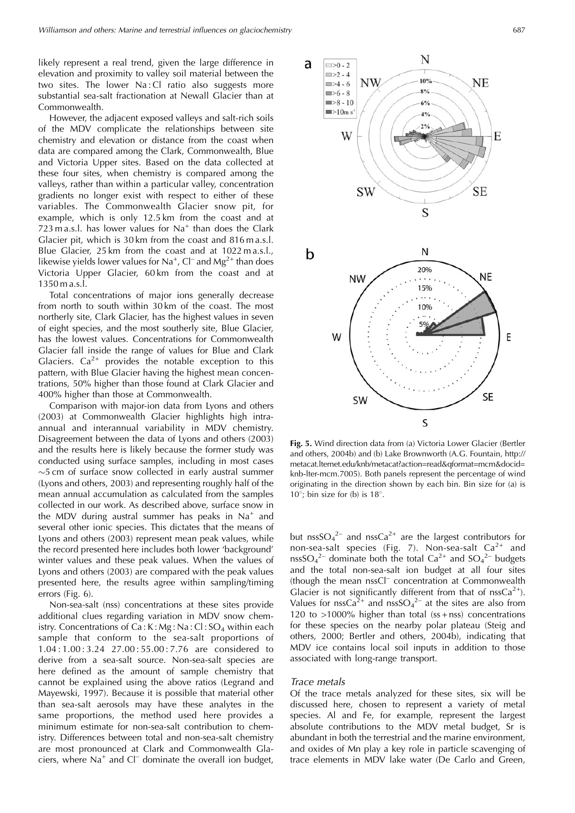likely represent a real trend, given the large difference in elevation and proximity to valley soil material between the two sites. The lower Na: Cl ratio also suggests more substantial sea-salt fractionation at Newall Glacier than at Commonwealth.

However, the adjacent exposed valleys and salt-rich soils of the MDV complicate the relationships between site chemistry and elevation or distance from the coast when data are compared among the Clark, Commonwealth, Blue and Victoria Upper sites. Based on the data collected at these four sites, when chemistry is compared among the valleys, rather than within a particular valley, concentration gradients no longer exist with respect to either of these variables. The Commonwealth Glacier snow pit, for example, which is only 12.5 km from the coast and at 723 m a.s.l. has lower values for Na<sup>+</sup> than does the Clark Glacier pit, which is 30 km from the coast and 816 m a.s.l. Blue Glacier, 25 km from the coast and at 1022 m a.s.l., likewise yields lower values for Na<sup>+</sup>, Cl<sup>-</sup> and Mg<sup>2+</sup> than does Victoria Upper Glacier, 60km from the coast and at 1350 m a.s.l.

Total concentrations of major ions generally decrease from north to south within 30 km of the coast. The most northerly site, Clark Glacier, has the highest values in seven of eight species, and the most southerly site, Blue Glacier, has the lowest values. Concentrations for Commonwealth Glacier fall inside the range of values for Blue and Clark Glaciers.  $Ca^{2+}$  provides the notable exception to this pattern, with Blue Glacier having the highest mean concentrations, 50% higher than those found at Clark Glacier and 400% higher than those at Commonwealth.

Comparison with major-ion data from Lyons and others (2003) at Commonwealth Glacier highlights high intraannual and interannual variability in MDV chemistry. Disagreement between the data of Lyons and others (2003) and the results here is likely because the former study was conducted using surface samples, including in most cases  $\sim$ 5 cm of surface snow collected in early austral summer (Lyons and others, 2003) and representing roughly half of the mean annual accumulation as calculated from the samples collected in our work. As described above, surface snow in the MDV during austral summer has peaks in Na<sup>+</sup> and several other ionic species. This dictates that the means of Lyons and others (2003) represent mean peak values, while the record presented here includes both lower 'background' winter values and these peak values. When the values of Lyons and others (2003) are compared with the peak values presented here, the results agree within sampling/timing errors (Fig. 6).

Non-sea-salt (nss) concentrations at these sites provide additional clues regarding variation in MDV snow chemistry. Concentrations of  $Ca:K:Mg:Na:Cl:SO<sub>4</sub>$  within each sample that conform to the sea-salt proportions of 1.04:1.00:3.24 27.00:55.00:7.76 are considered to derive from a sea-salt source. Non-sea-salt species are here defined as the amount of sample chemistry that cannot be explained using the above ratios (Legrand and Mayewski, 1997). Because it is possible that material other than sea-salt aerosols may have these analytes in the same proportions, the method used here provides a minimum estimate for non-sea-salt contribution to chemistry. Differences between total and non-sea-salt chemistry are most pronounced at Clark and Commonwealth Glaciers, where Na<sup>+</sup> and Cl<sup>-</sup> dominate the overall ion budget,



Fig. 5. Wind direction data from (a) Victoria Lower Glacier (Bertler and others, 2004b) and (b) Lake Brownworth (A.G. Fountain, http:// metacat.lternet.edu/knb/metacat?action=read&qformat=mcm&docid= knb-lter-mcm.7005). Both panels represent the percentage of wind originating in the direction shown by each bin. Bin size for (a) is  $10^\circ$ ; bin size for (b) is  $18^\circ$ .

but nssSO<sub>4</sub><sup>2-</sup> and nssCa<sup>2+</sup> are the largest contributors for non-sea-salt species (Fig. 7). Non-sea-salt  $Ca^{2+}$  and nssSO<sub>4</sub><sup>2-</sup> dominate both the total Ca<sup>2+</sup> and SO<sub>4</sub><sup>2-</sup> budgets and the total non-sea-salt ion budget at all four sites (though the mean nssCl<sup>-</sup> concentration at Commonwealth Glacier is not significantly different from that of nss $Ca^{2+}$ ). Values for nssCa<sup>2+</sup> and nssSO<sub>4</sub><sup>2-</sup> at the sites are also from 120 to >1000% higher than total  $(ss + nss)$  concentrations for these species on the nearby polar plateau (Steig and others, 2000; Bertler and others, 2004b), indicating that MDV ice contains local soil inputs in addition to those associated with long-range transport.

#### Trace metals

Of the trace metals analyzed for these sites, six will be discussed here, chosen to represent a variety of metal species. Al and Fe, for example, represent the largest absolute contributions to the MDV metal budget, Sr is abundant in both the terrestrial and the marine environment, and oxides of Mn play a key role in particle scavenging of trace elements in MDV lake water (De Carlo and Green,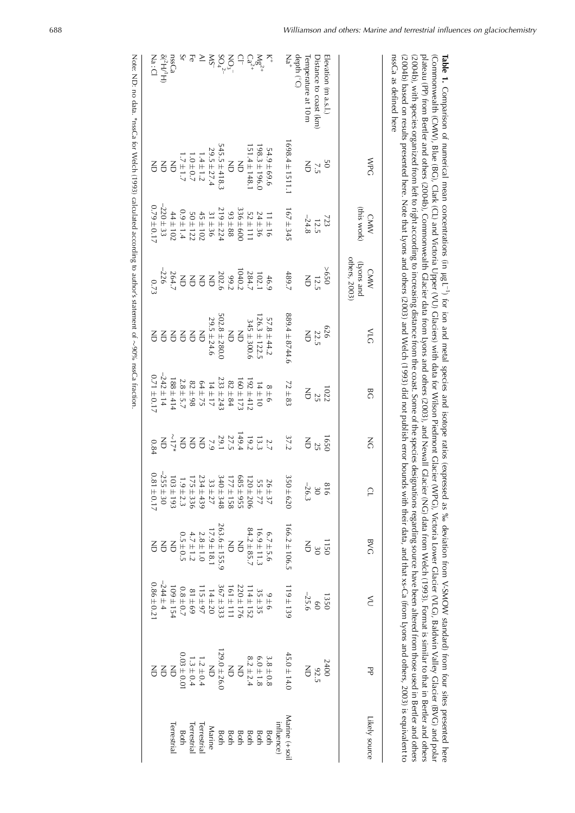| (2004b), with species organized from left to right according to increasing distance from the coast. Some of the species designations regarding source have been altered from those used in Bertler and others<br>(2004b) based on results presented here. Note that power and other in the state in the light of 1993) did not publish errot bounds with their data, and their data, and the soluke is 0.003) is equivalent to the Note in Nelc<br>nssCa as detined here |                        |                             |                                        |                                     | plateral (PD) from Bread News 30033, 30045). (Community Collect data it community consisted of the series of the series of the series of the series of the series of the series of the series of the series of the series of t |                |                                                                                                                       |                        |                         | ier (NC) data from Welch (1993). Format is similar to that in Bertler and others |                              |
|--------------------------------------------------------------------------------------------------------------------------------------------------------------------------------------------------------------------------------------------------------------------------------------------------------------------------------------------------------------------------------------------------------------------------------------------------------------------------|------------------------|-----------------------------|----------------------------------------|-------------------------------------|--------------------------------------------------------------------------------------------------------------------------------------------------------------------------------------------------------------------------------|----------------|-----------------------------------------------------------------------------------------------------------------------|------------------------|-------------------------|----------------------------------------------------------------------------------|------------------------------|
|                                                                                                                                                                                                                                                                                                                                                                                                                                                                          | MPG                    | (this work)<br><b>CMW</b>   | others, 2003)<br>bns and<br><b>CMW</b> | $\leq$                              | BG                                                                                                                                                                                                                             | $\overline{5}$ | $\cap$                                                                                                                | 500                    | $\leq$                  | 긩                                                                                | Likely source                |
| Elevation (m a.s.l.)                                                                                                                                                                                                                                                                                                                                                                                                                                                     |                        | 723                         | <b>OS9&lt;</b>                         | 979                                 | 1022                                                                                                                                                                                                                           | 1650           | 918                                                                                                                   | 1150                   | 1350                    | 2400                                                                             |                              |
| Distance to coast (km)                                                                                                                                                                                                                                                                                                                                                                                                                                                   | $\frac{50}{25}$        | 12.5                        | 12.5                                   | 22.5                                | $^{25}_{\phantom{1}\phantom{1}\phantom{1}\phantom{1}}$ Sp                                                                                                                                                                      | <b>25</b>      | $\overline{0}$                                                                                                        | $\overline{0}$         | SO                      | 92.5                                                                             |                              |
| O <sub>o</sub> ) yelp<br>Temperature at 10 m                                                                                                                                                                                                                                                                                                                                                                                                                             |                        | $-24.8$                     | $\overline{5}$                         |                                     |                                                                                                                                                                                                                                | 증              | $-26.3$                                                                                                               | 증                      | $-25.6$                 | $\frac{Z}{U}$                                                                    |                              |
| $\Sigma^+$                                                                                                                                                                                                                                                                                                                                                                                                                                                               | $1698.4 \pm 1511.1$    | $167 \pm 345$               | 489.7                                  | $889.4 \pm 8744.6$                  | $72 \pm 83$                                                                                                                                                                                                                    | 37.2           | $350 \pm 620$                                                                                                         | $166.2 \pm 106.5$      | $119 \pm 139$           | $45.0 \pm 14.0$                                                                  | Marine (+ soil<br>intluence) |
| $\tilde{\mathcal{L}}$                                                                                                                                                                                                                                                                                                                                                                                                                                                    | $54.9 \pm 69.6$        | $11 \pm 16$                 | 46.9                                   | $57.8 \pm 44.2$                     | $6 \pm 6$                                                                                                                                                                                                                      | 2.7            |                                                                                                                       | $6.7 \pm 5.6$          | $9 + 6$                 | $3.8\pm0.8$                                                                      | Both                         |
| $M_{{\rm g}^{2+}_{2+}}^{{\rm g}^{2+}}$                                                                                                                                                                                                                                                                                                                                                                                                                                   | $98.3 \pm 196.0$       | $24 \pm 36$                 |                                        | $126.3 \pm 122.5$                   | $14 \pm 10$                                                                                                                                                                                                                    | 13.3           | $26 \pm 37$<br>55 $\pm 77$                                                                                            | $16.9 \pm 11.3$        | $35 \pm 35$             | $6.0 \pm 1.8$                                                                    | Both                         |
|                                                                                                                                                                                                                                                                                                                                                                                                                                                                          | $51.4 \pm 148.1$       | $52 \pm 111$                | $102.1$<br>284.7                       | $345 \pm 300.6$                     | $192 \pm 412$                                                                                                                                                                                                                  | $19.2$         |                                                                                                                       | $84.2 \pm 85.7$        | $114 \pm 152$           | $8.2 \pm 2.4$                                                                    | Both                         |
| $\frac{1}{\sqrt{2}}$                                                                                                                                                                                                                                                                                                                                                                                                                                                     | $\epsilon$             | $336 \pm 600$               | 1040.2                                 | $\frac{2}{x}$                       | $160 \pm 173$                                                                                                                                                                                                                  | 149.4          | $120 \pm 206$<br>685 ± 955                                                                                            | $\leq$                 | $220 \pm 176$           | $\leq$                                                                           | Both                         |
| $NLO_3^{-1}$<br>$SO_4^{-2-}$                                                                                                                                                                                                                                                                                                                                                                                                                                             | $545.5 \pm 418.3$<br>증 | $219 \pm 224$<br>$93\pm88$  | 202.6<br>$-0.2$                        | $502.8 \pm 280.0$<br>$\overline{5}$ | $233 \pm 243$<br>$82\pm84$                                                                                                                                                                                                     | 29.1<br>27.5   | $\begin{array}{r} 177 \pm 158 \\ 340 \pm 348 \\ 234 \pm 427 \\ 234 \pm 439 \\ 175 \pm 336 \\ 1.9 \pm 2.3 \end{array}$ | $263.6 \pm 155.9$<br>증 | $367 \pm 333$<br>111719 | $129.0 \pm 26.0$<br>$\breve{\varepsilon}$                                        | Both<br>Both                 |
| $\mathsf{MS}^-$                                                                                                                                                                                                                                                                                                                                                                                                                                                          | $29.5 \pm 27.4$        |                             | $\overline{5}$                         | $29.5 \pm 24.6$                     | $14 \pm 17$                                                                                                                                                                                                                    | 6'2            |                                                                                                                       | $17.9 \pm 18.1$        | $14 \pm 20$             | $\frac{2}{5}$                                                                    | Marine                       |
| $\geq$                                                                                                                                                                                                                                                                                                                                                                                                                                                                   | $1.4 \pm 1.2$          | $31 \pm 36$<br>45 $\pm 102$ |                                        | $\overline{6}$                      | $64 \pm 75$                                                                                                                                                                                                                    |                |                                                                                                                       | $2.8 \pm 1.0$          | $115 \pm 97$            | $1.2 \pm 0.4$                                                                    | lerrestrial                  |
| ᠗                                                                                                                                                                                                                                                                                                                                                                                                                                                                        | $1.0 \pm 0.7$          | $50 \pm 122$                | 355                                    |                                     | $82 \pm 98$                                                                                                                                                                                                                    | $\overline{6}$ |                                                                                                                       | $4.7 \pm 1.2$          | $69 \pm 18$             | $1.3 \pm 0.4$                                                                    | lerrestria                   |
|                                                                                                                                                                                                                                                                                                                                                                                                                                                                          | $1.7 \pm 1.7$          | $0.9 \pm 1.4$               |                                        |                                     | $2.8 \pm 5.7$                                                                                                                                                                                                                  | $\overline{6}$ |                                                                                                                       | $0.5 \pm 0.5$          | $0.8 \pm 0.7$           | $0.03 \pm 0.01$                                                                  | Both                         |
| nssCa                                                                                                                                                                                                                                                                                                                                                                                                                                                                    | $\overline{5}$         | $44 \pm 102$                | $264.7$<br>-226                        | 5555                                | $188 \pm 414$                                                                                                                                                                                                                  | $\frac{1}{2}$  | $103 \pm 193$ $-255 \pm 30$                                                                                           | $\overline{5}$         | $109 \pm 154$           | $\mathbf{r}_{\mathbf{q}}$                                                        | lerrestrial                  |
| $\delta$ ( <sup>2</sup> H/ <sup>1</sup> H)                                                                                                                                                                                                                                                                                                                                                                                                                               | 증                      | $-220 \pm 33$               |                                        |                                     | $-242 \pm 14$                                                                                                                                                                                                                  | 증              |                                                                                                                       | 증                      | $-244 \pm 4$            | $\frac{Z}{U}$                                                                    |                              |
| Na:Cl                                                                                                                                                                                                                                                                                                                                                                                                                                                                    |                        | $0.79 \pm 0.17$             |                                        |                                     | $0.71 \pm 0.11$                                                                                                                                                                                                                | 0.84           | 180<br>$\pm 0.1$                                                                                                      | 증                      | $0.86 \pm 0.21$         |                                                                                  |                              |

Note: ND: no data. \*nssCa for Welch (1993) calculated according to author's statement of ~90% nssCa fraction.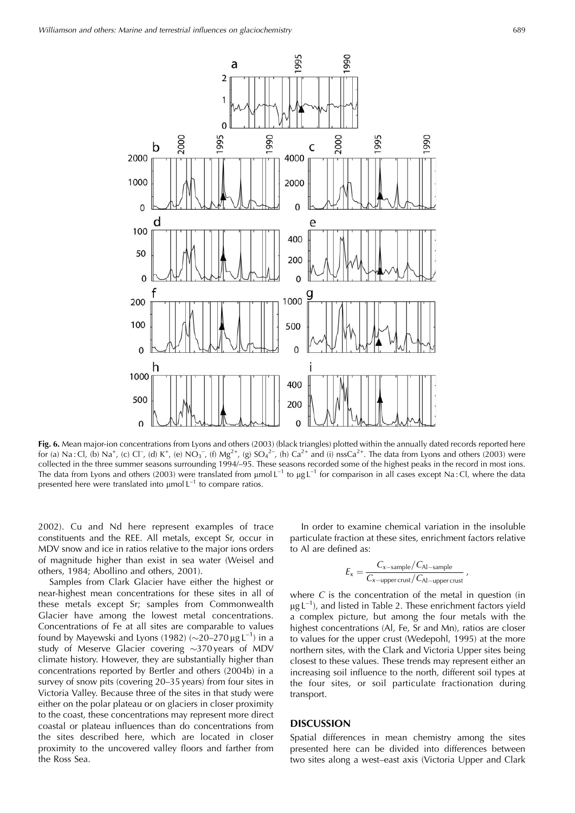

Fig. 6. Mean major-ion concentrations from Lyons and others (2003) (black triangles) plotted within the annually dated records reported here for (a) Na: Cl, (b) Na<sup>+</sup>, (c) Cl<sup>-</sup>, (d) K<sup>+</sup>, (e) NO<sub>3</sub><sup>-</sup>, (f) Mg<sup>2+</sup>, (g) SO<sub>4</sub><sup>2-</sup>, (h) Ca<sup>2+</sup> and (i) nssCa<sup>2+</sup>. The data from Lyons and others (2003) were collected in the three summer seasons surrounding 1994/-95. These seasons recorded some of the highest peaks in the record in most ions. The data from Lyons and others (2003) were translated from  $\mu$ mol L<sup>-1</sup> to  $\mu$ g L<sup>-1</sup> for comparison in all cases except Na: Cl, where the data presented here were translated into  $\mu$ mol  $L^{-1}$  to compare ratios.

2002). Cu and Nd here represent examples of trace constituents and the REE. All metals, except Sr, occur in MDV snow and ice in ratios relative to the major ions orders of magnitude higher than exist in sea water (Weisel and others, 1984; Abollino and others, 2001).

Samples from Clark Glacier have either the highest or near-highest mean concentrations for these sites in all of these metals except Sr; samples from Commonwealth Glacier have among the lowest metal concentrations. Concentrations of Fe at all sites are comparable to values found by Mayewski and Lyons (1982) ( $\sim$ 20–270  $\mu$ g L<sup>-1</sup>) in a study of Meserve Glacier covering  $\sim$ 370 years of MDV climate history. However, they are substantially higher than concentrations reported by Bertler and others (2004b) in a survey of snow pits (covering 20–35 years) from four sites in Victoria Valley. Because three of the sites in that study were either on the polar plateau or on glaciers in closer proximity to the coast, these concentrations may represent more direct coastal or plateau influences than do concentrations from the sites described here, which are located in closer proximity to the uncovered valley floors and farther from the Ross Sea.

In order to examine chemical variation in the insoluble particulate fraction at these sites, enrichment factors relative to Al are defined as:

$$
E_x = \frac{C_{x-\text{sample}}/C_{\text{Al-sample}}}{C_{x-\text{upper crust}}/C_{\text{Al}-\text{upper crust}}}
$$

where  $C$  is the concentration of the metal in question (in  $\mu$ g L<sup>-1</sup>), and listed in Table 2. These enrichment factors yield a complex picture, but among the four metals with the highest concentrations (Al, Fe, Sr and Mn), ratios are closer to values for the upper crust (Wedepohl, 1995) at the more northern sites, with the Clark and Victoria Upper sites being closest to these values. These trends may represent either an increasing soil influence to the north, different soil types at the four sites, or soil particulate fractionation during transport.

#### **DISCUSSION**

Spatial differences in mean chemistry among the sites presented here can be divided into differences between two sites along a west-east axis (Victoria Upper and Clark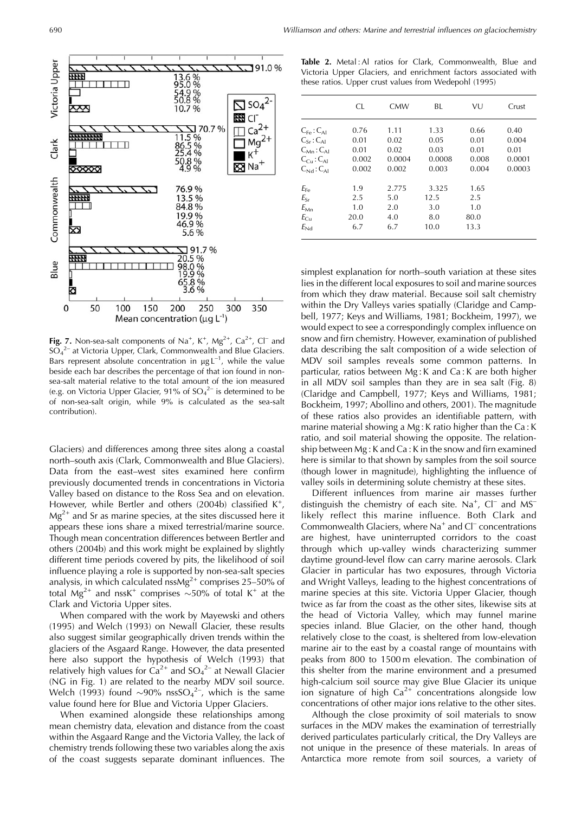690



Fig. 7. Non-sea-salt components of Na<sup>+</sup>, K<sup>+</sup>, Mg<sup>2+</sup>, Ca<sup>2+</sup>, Cl<sup>-</sup> and  $SO_4^{2-}$  at Victoria Upper, Clark, Commonwealth and Blue Glaciers. Bars represent absolute concentration in  $\mu g L^{-1}$ , while the value beside each bar describes the percentage of that ion found in nonsea-salt material relative to the total amount of the ion measured (e.g. on Victoria Upper Glacier,  $91\%$  of  $SO_4^{2-}$  is determined to be of non-sea-salt origin, while 9% is calculated as the sea-salt contribution).

Glaciers) and differences among three sites along a coastal north-south axis (Clark, Commonwealth and Blue Glaciers). Data from the east-west sites examined here confirm previously documented trends in concentrations in Victoria Valley based on distance to the Ross Sea and on elevation. However, while Bertler and others (2004b) classified  $K^+$ ,  $Mg^{2+}$  and Sr as marine species, at the sites discussed here it appears these ions share a mixed terrestrial/marine source. Though mean concentration differences between Bertler and others (2004b) and this work might be explained by slightly different time periods covered by pits, the likelihood of soil influence playing a role is supported by non-sea-salt species analysis, in which calculated  $nssMg^{2+}$  comprises 25–50% of total  $Mg^{2+}$  and nssK<sup>+</sup> comprises  $\sim$ 50% of total K<sup>+</sup> at the Clark and Victoria Upper sites.

When compared with the work by Mayewski and others (1995) and Welch (1993) on Newall Glacier, these results also suggest similar geographically driven trends within the glaciers of the Asgaard Range. However, the data presented here also support the hypothesis of Welch (1993) that relatively high values for  $Ca^{2+}$  and  $SO_4^{2-}$  at Newall Glacier (NG in Fig. 1) are related to the nearby MDV soil source. Welch (1993) found  $\sim$ 90% nssSO<sub>4</sub><sup>2-</sup>, which is the same value found here for Blue and Victoria Upper Glaciers.

When examined alongside these relationships among mean chemistry data, elevation and distance from the coast within the Asgaard Range and the Victoria Valley, the lack of chemistry trends following these two variables along the axis of the coast suggests separate dominant influences. The

Table 2. Metal: Al ratios for Clark, Commonwealth, Blue and Victoria Upper Glaciers, and enrichment factors associated with these ratios. Upper crust values from Wedepohl (1995)

|                                       | CL.   | <b>CMW</b> | BL     | VU    | Crust  |
|---------------------------------------|-------|------------|--------|-------|--------|
| $C_{Fe}$ : $C_{Al}$                   | 0.76  | 1.11       | 1.33   | 0.66  | 0.40   |
| $C_{\textsf{Sr}}$ : $C_{\textsf{Al}}$ | 0.01  | 0.02       | 0.05   | 0.01  | 0.004  |
| $C_{Mn}$ : $C_{Al}$                   | 0.01  | 0.02       | 0.03   | 0.01  | 0.01   |
| $C_{\text{CL}}$ : $C_{\text{Al}}$     | 0.002 | 0.0004     | 0.0008 | 0.008 | 0.0001 |
| $C_{Nd}$ : $C_{Al}$                   | 0.002 | 0.002      | 0.003  | 0.004 | 0.0003 |
| $E_{\rm Fe}$                          | 1.9   | 2.775      | 3.325  | 1.65  |        |
| $E_{Sr}$                              | 2.5   | 5.0        | 12.5   | 2.5   |        |
| $E_{Mn}$                              | 1.0   | 2.0        | 3.0    | 1.0   |        |
| $E_{Cu}$                              | 20.0  | 4.0        | 8.0    | 80.0  |        |
| $E_{\rm Nd}$                          | 6.7   | 6.7        | 10.0   | 13.3  |        |

simplest explanation for north–south variation at these sites lies in the different local exposures to soil and marine sources from which they draw material. Because soil salt chemistry within the Dry Valleys varies spatially (Claridge and Campbell, 1977; Keys and Williams, 1981; Bockheim, 1997), we would expect to see a correspondingly complex influence on snow and firn chemistry. However, examination of published data describing the salt composition of a wide selection of MDV soil samples reveals some common patterns. In particular, ratios between Mg: K and Ca: K are both higher in all MDV soil samples than they are in sea salt (Fig. 8) (Claridge and Campbell, 1977; Keys and Williams, 1981; Bockheim, 1997; Abollino and others, 2001). The magnitude of these ratios also provides an identifiable pattern, with marine material showing a  $Mg:K$  ratio higher than the  $Ca:K$ ratio, and soil material showing the opposite. The relationship between Mg: K and Ca: K in the snow and firn examined here is similar to that shown by samples from the soil source (though lower in magnitude), highlighting the influence of valley soils in determining solute chemistry at these sites.

Different influences from marine air masses further distinguish the chemistry of each site.  $Na^{+}$ , Cl<sup>-</sup> and MS<sup>-</sup> likely reflect this marine influence. Both Clark and Commonwealth Glaciers, where Na<sup>+</sup> and Cl<sup>-</sup> concentrations are highest, have uninterrupted corridors to the coast through which up-valley winds characterizing summer daytime ground-level flow can carry marine aerosols. Clark Glacier in particular has two exposures, through Victoria and Wright Valleys, leading to the highest concentrations of marine species at this site. Victoria Upper Glacier, though twice as far from the coast as the other sites, likewise sits at the head of Victoria Valley, which may funnel marine species inland. Blue Glacier, on the other hand, though relatively close to the coast, is sheltered from low-elevation marine air to the east by a coastal range of mountains with peaks from 800 to 1500 m elevation. The combination of this shelter from the marine environment and a presumed high-calcium soil source may give Blue Glacier its unique ion signature of high  $Ca^{2+}$  concentrations alongside low concentrations of other major ions relative to the other sites.

Although the close proximity of soil materials to snow surfaces in the MDV makes the examination of terrestrially derived particulates particularly critical, the Dry Valleys are not unique in the presence of these materials. In areas of Antarctica more remote from soil sources, a variety of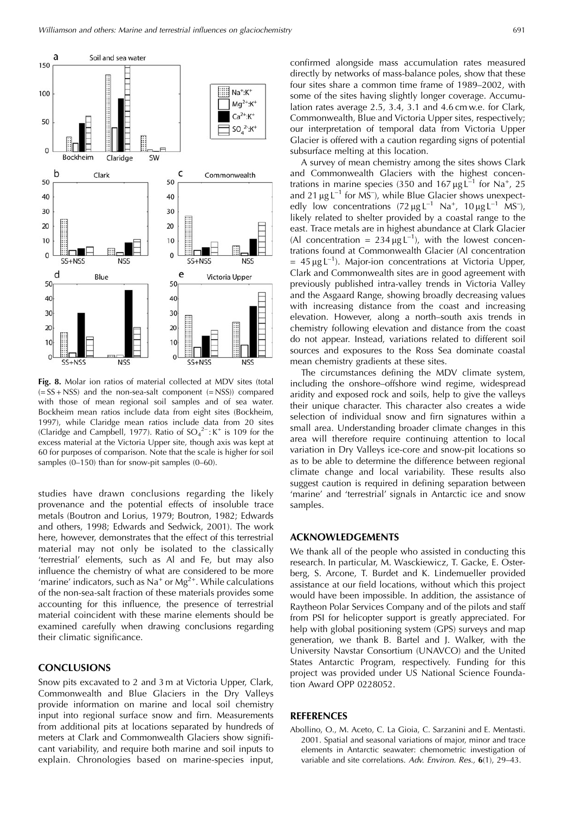

Fig. 8. Molar ion ratios of material collected at MDV sites (total  $(= SS + NSS)$  and the non-sea-salt component  $(= NSS)$  compared with those of mean regional soil samples and of sea water. Bockheim mean ratios include data from eight sites (Bockheim, 1997), while Claridge mean ratios include data from 20 sites (Claridge and Campbell, 1977). Ratio of  $SO_4^{2-}$ : K<sup>+</sup> is 109 for the excess material at the Victoria Upper site, though axis was kept at 60 for purposes of comparison. Note that the scale is higher for soil samples (0-150) than for snow-pit samples (0-60).

studies have drawn conclusions regarding the likely provenance and the potential effects of insoluble trace metals (Boutron and Lorius, 1979; Boutron, 1982; Edwards and others, 1998; Edwards and Sedwick, 2001). The work here, however, demonstrates that the effect of this terrestrial material may not only be isolated to the classically 'terrestrial' elements, such as Al and Fe, but may also influence the chemistry of what are considered to be more 'marine' indicators, such as  $Na<sup>+</sup>$  or Mg<sup>2+</sup>. While calculations of the non-sea-salt fraction of these materials provides some accounting for this influence, the presence of terrestrial material coincident with these marine elements should be examined carefully when drawing conclusions regarding their climatic significance.

#### **CONCLUSIONS**

Snow pits excavated to 2 and 3 m at Victoria Upper, Clark, Commonwealth and Blue Glaciers in the Dry Valleys provide information on marine and local soil chemistry input into regional surface snow and firn. Measurements from additional pits at locations separated by hundreds of meters at Clark and Commonwealth Glaciers show significant variability, and require both marine and soil inputs to explain. Chronologies based on marine-species input,

confirmed alongside mass accumulation rates measured directly by networks of mass-balance poles, show that these four sites share a common time frame of 1989–2002, with some of the sites having slightly longer coverage. Accumulation rates average 2.5, 3.4, 3.1 and 4.6 cm w.e. for Clark, Commonwealth, Blue and Victoria Upper sites, respectively; our interpretation of temporal data from Victoria Upper Glacier is offered with a caution regarding signs of potential subsurface melting at this location.

A survey of mean chemistry among the sites shows Clark and Commonwealth Glaciers with the highest concentrations in marine species (350 and 167  $\mu$ g L<sup>-1</sup> for Na<sup>+</sup>, 25 and 21  $\mu$ g L<sup>-1</sup> for MS<sup>-</sup>), while Blue Glacier shows unexpectedly low concentrations  $(72 \mu g L^{-1} Na^{+}$ ,  $10 \mu g L^{-1} Mg^{-}$ ), likely related to shelter provided by a coastal range to the east. Trace metals are in highest abundance at Clark Glacier (Al concentration =  $234 \mu g L^{-1}$ ), with the lowest concentrations found at Commonwealth Glacier (Al concentration  $=$  45  $\mu$ g L<sup>-1</sup>). Major-ion concentrations at Victoria Upper, Clark and Commonwealth sites are in good agreement with previously published intra-valley trends in Victoria Valley and the Asgaard Range, showing broadly decreasing values with increasing distance from the coast and increasing elevation. However, along a north-south axis trends in chemistry following elevation and distance from the coast do not appear. Instead, variations related to different soil sources and exposures to the Ross Sea dominate coastal mean chemistry gradients at these sites.

The circumstances defining the MDV climate system, including the onshore–offshore wind regime, widespread aridity and exposed rock and soils, help to give the valleys their unique character. This character also creates a wide selection of individual snow and firn signatures within a small area. Understanding broader climate changes in this area will therefore require continuing attention to local variation in Dry Valleys ice-core and snow-pit locations so as to be able to determine the difference between regional climate change and local variability. These results also suggest caution is required in defining separation between 'marine' and 'terrestrial' signals in Antarctic ice and snow samples.

#### **ACKNOWLEDGEMENTS**

We thank all of the people who assisted in conducting this research. In particular, M. Wasckiewicz, T. Gacke, E. Osterberg, S. Arcone, T. Burdet and K. Lindemueller provided assistance at our field locations, without which this project would have been impossible. In addition, the assistance of Raytheon Polar Services Company and of the pilots and staff from PSI for helicopter support is greatly appreciated. For help with global positioning system (GPS) surveys and map generation, we thank B. Bartel and J. Walker, with the University Navstar Consortium (UNAVCO) and the United States Antarctic Program, respectively. Funding for this project was provided under US National Science Foundation Award OPP 0228052.

#### **REFERENCES**

Abollino, O., M. Aceto, C. La Gioia, C. Sarzanini and E. Mentasti. 2001. Spatial and seasonal variations of major, minor and trace elements in Antarctic seawater: chemometric investigation of variable and site correlations. Adv. Environ. Res., 6(1), 29-43.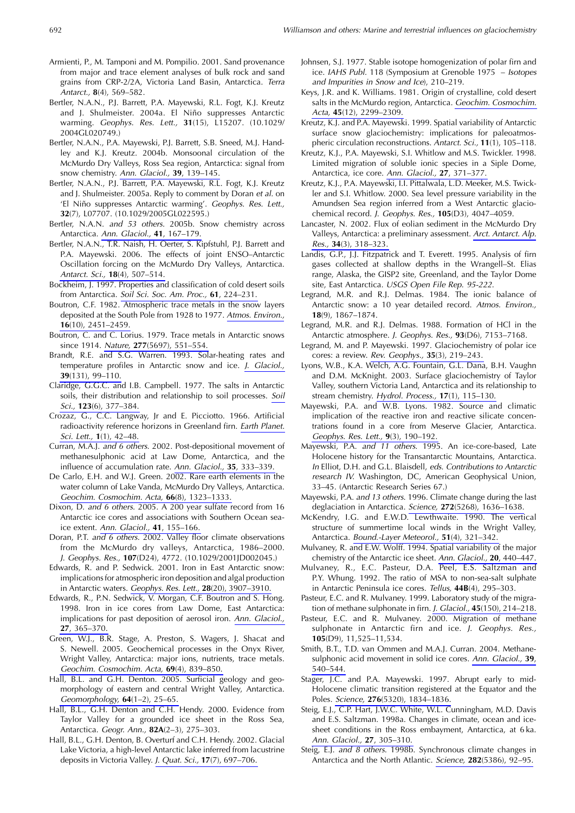- Armienti, P., M. Tamponi and M. Pompilio. 2001. Sand provenance from major and trace element analyses of bulk rock and sand grains from CRP-2/2A, Victoria Land Basin, Antarctica. Terra Antarct., 8(4), 569-582.
- Bertler, N.A.N., P.J. Barrett, P.A. Mayewski, R.L. Fogt, K.J. Kreutz and J. Shulmeister. 2004a. El Niño suppresses Antarctic warming. Geophys. Res. Lett., 31(15), L15207. (10.1029/ 2004GL020749.)
- Bertler, N.A.N., P.A. Mayewski, P.J. Barrett, S.B. Sneed, M.J. Handley and K.J. Kreutz. 2004b. Monsoonal circulation of the McMurdo Dry Valleys, Ross Sea region, Antarctica: signal from snow chemistry. Ann. Glaciol., 39, 139-145.
- Bertler, N.A.N., P.J. Barrett, P.A. Mayewski, R.L. Fogt, K.J. Kreutz and J. Shulmeister. 2005a. Reply to comment by Doran et al. on 'El Niño suppresses Antarctic warming'. Geophys. Res. Lett., 32(7), L07707. (10.1029/2005GL022595.)
- Bertler, N.A.N. and 53 others. 2005b. Snow chemistry across Antarctica. Ann. Glaciol., 41, 167-179.
- Bertler, N.A.N., T.R. Naish, H. Oerter, S. Kipfstuhl, P.J. Barrett and P.A. Mayewski. 2006. The effects of joint ENSO-Antarctic Oscillation forcing on the McMurdo Dry Valleys, Antarctica. Antarct. Sci., 18(4), 507-514.
- Bockheim, J. 1997. Properties and classification of cold desert soils from Antarctica. Soil Sci. Soc. Am. Proc., 61, 224-231.
- Boutron, C.F. 1982. Atmospheric trace metals in the snow layers deposited at the South Pole from 1928 to 1977. Atmos. Environ., 16(10), 2451-2459.
- Boutron, C. and C. Lorius. 1979. Trace metals in Antarctic snows since 1914. Nature, 277(5697), 551-554.
- Brandt, R.E. and S.G. Warren. 1993. Solar-heating rates and temperature profiles in Antarctic snow and ice. J. Glaciol., 39(131), 99-110.
- Claridge, G.G.C. and I.B. Campbell. 1977. The salts in Antarctic soils, their distribution and relationship to soil processes. Soil Sci., 123(6), 377-384.
- Crozaz, G., C.C. Langway, Jr and E. Picciotto. 1966. Artificial radioactivity reference horizons in Greenland firn. Earth Planet. Sci. Lett., 1(1), 42-48.
- Curran, M.A.J. and 6 others. 2002. Post-depositional movement of methanesulphonic acid at Law Dome, Antarctica, and the influence of accumulation rate. Ann. Glaciol., 35, 333-339.
- De Carlo, E.H. and W.J. Green. 2002. Rare earth elements in the water column of Lake Vanda, McMurdo Dry Valleys, Antarctica. Geochim. Cosmochim. Acta, 66(8), 1323-1333.
- Dixon, D. and 6 others. 2005. A 200 year sulfate record from 16 Antarctic ice cores and associations with Southern Ocean seaice extent. Ann. Glaciol., 41, 155-166.
- Doran, P.T. and 6 others. 2002. Valley floor climate observations from the McMurdo dry valleys, Antarctica, 1986-2000. J. Geophys. Res., 107(D24), 4772. (10.1029/2001JD002045.)
- Edwards, R. and P. Sedwick. 2001. Iron in East Antarctic snow: implications for atmospheric iron deposition and algal production in Antarctic waters. Geophys. Res. Lett., 28(20), 3907-3910.
- Edwards, R., P.N. Sedwick, V. Morgan, C.F. Boutron and S. Hong. 1998. Iron in ice cores from Law Dome, East Antarctica: implications for past deposition of aerosol iron. Ann. Glaciol., 27, 365-370.
- Green, W.J., B.R. Stage, A. Preston, S. Wagers, J. Shacat and S. Newell. 2005. Geochemical processes in the Onyx River, Wright Valley, Antarctica: major ions, nutrients, trace metals. Geochim. Cosmochim. Acta, 69(4), 839-850.
- Hall, B.L. and G.H. Denton. 2005. Surficial geology and geomorphology of eastern and central Wright Valley, Antarctica. Geomorphology, 64(1-2), 25-65.
- Hall, B.L., G.H. Denton and C.H. Hendy. 2000. Evidence from Taylor Valley for a grounded ice sheet in the Ross Sea, Antarctica. Geogr. Ann., 82A(2-3), 275-303.
- Hall, B.L., G.H. Denton, B. Overturf and C.H. Hendy. 2002. Glacial Lake Victoria, a high-level Antarctic lake inferred from lacustrine deposits in Victoria Valley. J. Quat. Sci., 17(7), 697-706.
- Johnsen, S.J. 1977. Stable isotope homogenization of polar firn and ice. IAHS Publ. 118 (Symposium at Grenoble 1975 - Isotopes and Impurities in Snow and Ice), 210-219.
- Keys, J.R. and K. Williams. 1981. Origin of crystalline, cold desert salts in the McMurdo region, Antarctica. Geochim. Cosmochim. Acta, 45(12), 2299-2309.
- Kreutz, K.J. and P.A. Mayewski. 1999. Spatial variability of Antarctic surface snow glaciochemistry: implications for paleoatmospheric circulation reconstructions. Antarct. Sci., 11(1), 105-118.
- Kreutz, K.J., P.A. Mayewski, S.I. Whitlow and M.S. Twickler. 1998. Limited migration of soluble ionic species in a Siple Dome, Antarctica, ice core. Ann. Glaciol., 27, 371-377.
- Kreutz, K.J., P.A. Mayewski, I.I. Pittalwala, L.D. Meeker, M.S. Twickler and S.I. Whitlow. 2000. Sea level pressure variability in the Amundsen Sea region inferred from a West Antarctic glaciochemical record. J. Geophys. Res., 105(D3), 4047-4059.
- Lancaster, N. 2002. Flux of eolian sediment in the McMurdo Dry Valleys, Antarctica: a preliminary assessment. Arct. Antarct. Alp. Res., 34(3), 318-323.
- Landis, G.P., J.J. Fitzpatrick and T. Everett. 1995. Analysis of firn gases collected at shallow depths in the Wrangell-St. Elias range, Alaska, the GISP2 site, Greenland, and the Taylor Dome site, East Antarctica. USGS Open File Rep. 95-222.
- Legrand, M.R. and R.J. Delmas. 1984. The ionic balance of Antarctic snow: a 10 year detailed record. Atmos. Environ., 18(9), 1867-1874.
- Legrand, M.R. and R.J. Delmas. 1988. Formation of HCl in the Antarctic atmosphere. J. Geophys. Res., 93(D6), 7153-7168.
- Legrand, M. and P. Mayewski. 1997. Glaciochemistry of polar ice cores: a review. Rev. Geophys., 35(3), 219-243.
- Lyons, W.B., K.A. Welch, A.G. Fountain, G.L. Dana, B.H. Vaughn and D.M. McKnight. 2003. Surface glaciochemistry of Taylor Valley, southern Victoria Land, Antarctica and its relationship to stream chemistry. Hydrol. Process., 17(1), 115-130.
- Mayewski, P.A. and W.B. Lyons. 1982. Source and climatic implication of the reactive iron and reactive silicate concentrations found in a core from Meserve Glacier, Antarctica. Geophys. Res. Lett., 9(3), 190-192.
- Mayewski, P.A. and 11 others. 1995. An ice-core-based, Late Holocene history for the Transantarctic Mountains, Antarctica. In Elliot, D.H. and G.L. Blaisdell, eds. Contributions to Antarctic research IV. Washington, DC, American Geophysical Union, 33-45. (Antarctic Research Series 67.)
- Mayewski, P.A. and 13 others. 1996. Climate change during the last deglaciation in Antarctica. Science, 272(5268), 1636–1638.
- McKendry, I.G. and E.W.D. Lewthwaite. 1990. The vertical structure of summertime local winds in the Wright Valley, Antarctica. Bound.-Layer Meteorol., 51(4), 321-342.
- Mulvaney, R. and E.W. Wolff. 1994. Spatial variability of the major chemistry of the Antarctic ice sheet. Ann. Glaciol., 20, 440-447.
- Mulvaney, R., E.C. Pasteur, D.A. Peel, E.S. Saltzman and P.Y. Whung. 1992. The ratio of MSA to non-sea-salt sulphate in Antarctic Peninsula ice cores. Tellus, 44B(4), 295-303.
- Pasteur, E.C. and R. Mulvaney. 1999. Laboratory study of the migration of methane sulphonate in firn. J. Glaciol., 45(150), 214-218.
- Pasteur, E.C. and R. Mulvaney. 2000. Migration of methane sulphonate in Antarctic firn and ice. J. Geophys. Res., 105(D9), 11,525-11,534.
- Smith, B.T., T.D. van Ommen and M.A.J. Curran. 2004. Methanesulphonic acid movement in solid ice cores. Ann. Glaciol., 39, 540-544.
- Stager, J.C. and P.A. Mayewski. 1997. Abrupt early to mid-Holocene climatic transition registered at the Equator and the Poles. Science, 276(5320), 1834-1836.
- Steig, E.J., C.P. Hart, J.W.C. White, W.L. Cunningham, M.D. Davis and E.S. Saltzman. 1998a. Changes in climate, ocean and icesheet conditions in the Ross embayment, Antarctica, at 6ka. Ann. Glaciol., 27, 305-310.
- Steig, E.J. and 8 others. 1998b. Synchronous climate changes in Antarctica and the North Atlantic. Science, 282(5386), 92-95.